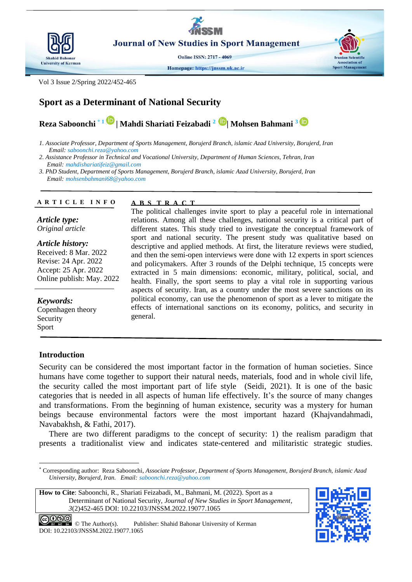

**Journal of New Studies in Sport Management** 

**Online ISSN: 2717 - 4069** 

Homepage: https://jnssm.uk.ac.ir

Vol 3 Issue 2/Spring 2022/452-465

# **Sport as a Determinant of National Security**

**Reza Saboonchi \* <sup>1</sup>| Mahdi Shariati Feizabadi <sup>2</sup>| Mohsen Bahmani <sup>3</sup>**

*1. Associate Professor, Department of Sports Management, Borujerd Branch, islamic Azad University, Borujerd, Iran Email: saboonchi.reza@yahoo.com*

*2. Assistance Professor in Technical and Vocational University, Department of Human Sciences, Tehran, Iran Email: mahdishariatifeiz@gmail.com*

*3. PhD Student, Department of Sports Management, Borujerd Branch, islamic Azad University, Borujerd, Iran Email: mohsenbahmani68@yahoo.com*

**A B S T R A C T**

#### **A R T I C L E I N F O**

*Article type: Original article*

*Article history:* Received: 8 Mar. 2022 Revise: 24 Apr. 2022 Accept: 25 Apr. 2022 Online publish: May. 2022

*Keywords:*

Copenhagen theory Security Sport

# **Introduction**

The political challenges invite sport to play a peaceful role in international relations. Among all these challenges, national security is a critical part of different states. This study tried to investigate the conceptual framework of sport and national security. The present study was qualitative based on descriptive and applied methods. At first, the literature reviews were studied, and then the semi-open interviews were done with 12 experts in sport sciences and policymakers. After 3 rounds of the Delphi technique, 15 concepts were extracted in 5 main dimensions: economic, military, political, social, and health. Finally, the sport seems to play a vital role in supporting various aspects of security. Iran, as a country under the most severe sanctions on its political economy, can use the phenomenon of sport as a lever to mitigate the effects of international sanctions on its economy, politics, and security in general.

Security can be considered the most important factor in the formation of human societies. Since humans have come together to support their natural needs, materials, food and in whole civil life, the security called the most important part of life style [\(Seidi, 2021\)](#page-13-0). It is one of the basic categories that is needed in all aspects of human life effectively. It's the source of many changes and transformations. From the beginning of human existence, security was a mystery for human beings because environmental factors were the most important hazard [\(Khajvandahmadi,](#page-12-0)  [Navabakhsh, & Fathi, 2017\)](#page-12-0).

There are two different paradigms to the concept of security: 1) the realism paradigm that presents a traditionalist view and indicates state-centered and militaristic strategic studies.

**How to Cite**: Saboonchi, R., Shariati Feizabadi, M., Bahmani, M. (2022). Sport as a Determinant of National Security, *Journal of New Studies in Sport Management*, *3*(2)452-465 DOI: 10.22103/JNSSM.2022.19077.1065



**Iranian Scientific** 

**Sport Management** 

<sup>-</sup>\* Corresponding author: Reza Saboonchi, *Associate Professor, Department of Sports Management, Borujerd Branch, islamic Azad University, Borujerd, Iran. Email: saboonchi.reza@yahoo.com*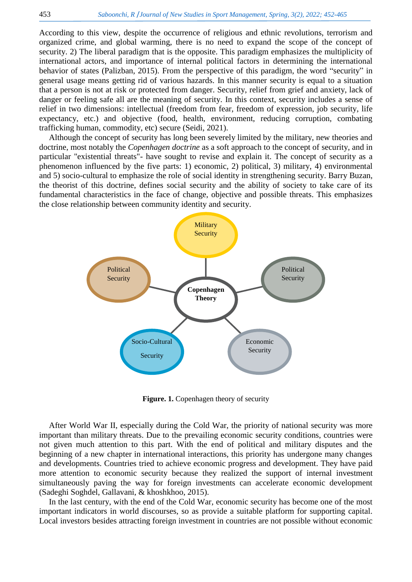According to this view, despite the occurrence of religious and ethnic revolutions, terrorism and organized crime, and global warming, there is no need to expand the scope of the concept of security. 2) The liberal paradigm that is the opposite. This paradigm emphasizes the multiplicity of international actors, and importance of internal political factors in determining the international behavior of states [\(Palizban, 2015\)](#page-12-1). From the perspective of this paradigm, the word "security" in general usage means getting rid of various hazards. In this manner security is equal to a situation that a person is not at risk or protected from danger. Security, relief from grief and anxiety, lack of danger or feeling safe all are the meaning of security. In this context, security includes a sense of relief in two dimensions: intellectual (freedom from fear, freedom of expression, job security, life expectancy, etc.) and objective (food, health, environment, reducing corruption, combating trafficking human, commodity, etc) secure [\(Seidi, 2021\)](#page-13-0).

Although the concept of security has long been severely limited by the military, new theories and doctrine, most notably the *Copenhagen doctrine* as a soft approach to the concept of security, and in particular "existential threats"- have sought to revise and explain it. The concept of security as a phenomenon influenced by the five parts: 1) economic, 2) political, 3) military, 4) environmental and 5) socio-cultural to emphasize the role of social identity in strengthening security. Barry Buzan, the theorist of this doctrine, defines social security and the ability of society to take care of its fundamental characteristics in the face of change, objective and possible threats. This emphasizes the close relationship between community identity and security.



**Figure. 1.** Copenhagen theory of security

After World War II, especially during the Cold War, the priority of national security was more important than military threats. Due to the prevailing economic security conditions, countries were not given much attention to this part. With the end of political and military disputes and the beginning of a new chapter in international interactions, this priority has undergone many changes and developments. Countries tried to achieve economic progress and development. They have paid more attention to economic security because they realized the support of internal investment simultaneously paving the way for foreign investments can accelerate economic development [\(Sadeghi Soghdel, Gallavani, & khoshkhoo, 2015\)](#page-12-2).

In the last century, with the end of the Cold War, economic security has become one of the most important indicators in world discourses, so as provide a suitable platform for supporting capital. Local investors besides attracting foreign investment in countries are not possible without economic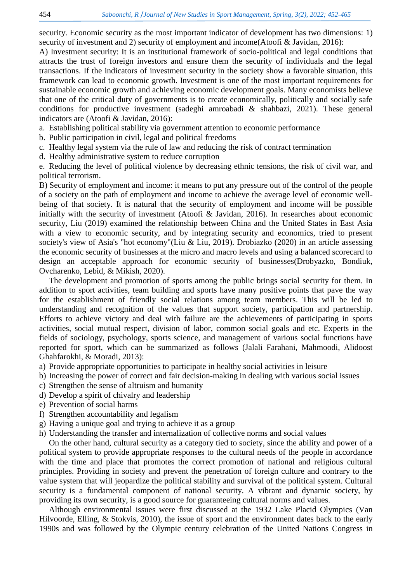security. Economic security as the most important indicator of development has two dimensions: 1) security of investment and 2) security of employment and income [\(Atoofi & Javidan, 2016\)](#page-11-0):

A) Investment security: It is an institutional framework of socio-political and legal conditions that attracts the trust of foreign investors and ensure them the security of individuals and the legal transactions. If the indicators of investment security in the society show a favorable situation, this framework can lead to economic growth. Investment is one of the most important requirements for sustainable economic growth and achieving economic development goals. Many economists believe that one of the critical duty of governments is to create economically, politically and socially safe conditions for productive investment [\(sadeghi amroabadi & shahbazi, 2021\)](#page-12-3). These general indicators are [\(Atoofi & Javidan, 2016\)](#page-11-0):

a. Establishing political stability via government attention to economic performance

- b. Public participation in civil, legal and political freedoms
- c. Healthy legal system via the rule of law and reducing the risk of contract termination
- d. Healthy administrative system to reduce corruption

e. Reducing the level of political violence by decreasing ethnic tensions, the risk of civil war, and political terrorism.

B) Security of employment and income: it means to put any pressure out of the control of the people of a society on the path of employment and income to achieve the average level of economic wellbeing of that society. It is natural that the security of employment and income will be possible initially with the security of investment [\(Atoofi & Javidan, 2016\)](#page-11-0). In researches about economic security, Liu (2019) examined the relationship between China and the United States in East Asia with a view to economic security, and by integrating security and economics, tried to present society's view of Asia's "hot economy"[\(Liu & Liu, 2019\)](#page-12-4). Drobiazko (2020) in an article assessing the economic security of businesses at the micro and macro levels and using a balanced scorecard to design an acceptable approach for economic security of businesses[\(Drobyazko, Bondiuk,](#page-11-1)  [Ovcharenko, Lebid, & Mikish, 2020\)](#page-11-1).

The development and promotion of sports among the public brings social security for them. In addition to sport activities, team building and sports have many positive points that pave the way for the establishment of friendly social relations among team members. This will be led to understanding and recognition of the values that support society, participation and partnership. Efforts to achieve victory and deal with failure are the achievements of participating in sports activities, social mutual respect, division of labor, common social goals and etc. Experts in the fields of sociology, psychology, sports science, and management of various social functions have reported for sport, which can be summarized as follows [\(Jalali Farahani, Mahmoodi, Alidoost](#page-12-5)  [Ghahfarokhi, & Moradi, 2013\)](#page-12-5):

a) Provide appropriate opportunities to participate in healthy social activities in leisure

- b) Increasing the power of correct and fair decision-making in dealing with various social issues
- c) Strengthen the sense of altruism and humanity
- d) Develop a spirit of chivalry and leadership
- e) Prevention of social harms
- f) Strengthen accountability and legalism
- g) Having a unique goal and trying to achieve it as a group
- h) Understanding the transfer and internalization of collective norms and social values

On the other hand, cultural security as a category tied to society, since the ability and power of a political system to provide appropriate responses to the cultural needs of the people in accordance with the time and place that promotes the correct promotion of national and religious cultural principles. Providing in society and prevent the penetration of foreign culture and contrary to the value system that will jeopardize the political stability and survival of the political system. Cultural security is a fundamental component of national security. A vibrant and dynamic society, by providing its own security, is a good source for guaranteeing cultural norms and values.

Although environmental issues were first discussed at the 1932 Lake Placid Olympics [\(Van](#page-13-1)  [Hilvoorde, Elling, & Stokvis, 2010\)](#page-13-1), the issue of sport and the environment dates back to the early 1990s and was followed by the Olympic century celebration of the United Nations Congress in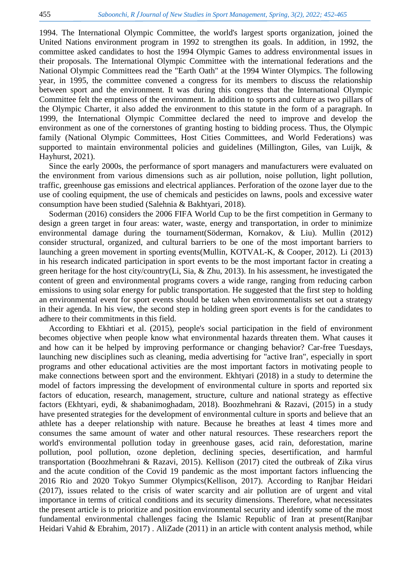1994. The International Olympic Committee, the world's largest sports organization, joined the United Nations environment program in 1992 to strengthen its goals. In addition, in 1992, the committee asked candidates to host the 1994 Olympic Games to address environmental issues in their proposals. The International Olympic Committee with the international federations and the National Olympic Committees read the "Earth Oath" at the 1994 Winter Olympics. The following year, in 1995, the committee convened a congress for its members to discuss the relationship between sport and the environment. It was during this congress that the International Olympic Committee felt the emptiness of the environment. In addition to sports and culture as two pillars of the Olympic Charter, it also added the environment to this statute in the form of a paragraph. In 1999, the International Olympic Committee declared the need to improve and develop the environment as one of the cornerstones of granting hosting to bidding process. Thus, the Olympic family (National Olympic Committees, Host Cities Committees, and World Federations) was supported to maintain environmental policies and guidelines [\(Millington, Giles, van Luijk, &](#page-12-6)  [Hayhurst, 2021\)](#page-12-6).

Since the early 2000s, the performance of sport managers and manufacturers were evaluated on the environment from various dimensions such as air pollution, noise pollution, light pollution, traffic, greenhouse gas emissions and electrical appliances. Perforation of the ozone layer due to the use of cooling equipment, the use of chemicals and pesticides on lawns, pools and excessive water consumption have been studied [\(Salehnia & Bakhtyari, 2018\)](#page-12-7).

Soderman (2016) considers the 2006 FIFA World Cup to be the first competition in Germany to design a green target in four areas: water, waste, energy and transportation, in order to minimize environmental damage during the tournament[\(Söderman, Kornakov, & Liu\)](#page-13-2). Mullin (2012) consider structural, organized, and cultural barriers to be one of the most important barriers to launching a green movement in sporting events[\(Mullin, KOTVAL-K, & Cooper, 2012\)](#page-12-8). Li (2013) in his research indicated participation in sport events to be the most important factor in creating a green heritage for the host city/country[\(Li, Sia, & Zhu, 2013\)](#page-12-9). In his assessment, he investigated the content of green and environmental programs covers a wide range, ranging from reducing carbon emissions to using solar energy for public transportation. He suggested that the first step to holding an environmental event for sport events should be taken when environmentalists set out a strategy in their agenda. In his view, the second step in holding green sport events is for the candidates to adhere to their commitments in this field.

According to Ekhtiari et al. (2015), people's social participation in the field of environment becomes objective when people know what environmental hazards threaten them. What causes it and how can it be helped by improving performance or changing behavior? Car-free Tuesdays, launching new disciplines such as cleaning, media advertising for "active Iran", especially in sport programs and other educational activities are the most important factors in motivating people to make connections between sport and the environment. Ekhtyari (2018) in a study to determine the model of factors impressing the development of environmental culture in sports and reported six factors of education, research, management, structure, culture and national strategy as effective factors [\(Ekhtyari, eydi, & shabanimoghadam, 2018\)](#page-12-10). [Boozhmehrani & Razavi, \(](#page-11-2)2015) in a study have presented strategies for the development of environmental culture in sports and believe that an athlete has a deeper relationship with nature. Because he breathes at least 4 times more and consumes the same amount of water and other natural resources. These researchers report the world's environmental pollution today in greenhouse gases, acid rain, deforestation, marine pollution, pool pollution, ozone depletion, declining species, desertification, and harmful transportation [\(Boozhmehrani & Razavi, 2015\)](#page-11-2). Kellison (2017) cited the outbreak of Zika virus and the acute condition of the Covid 19 pandemic as the most important factors influencing the 2016 Rio and 2020 Tokyo Summer Olympics[\(Kellison, 2017\)](#page-12-11). According to [Ranjbar Heidari](#page-12-12)  (2017), issues related to the crisis of water scarcity and air pollution are of urgent and vital importance in terms of critical conditions and its security dimensions. Therefore, what necessitates the present article is to prioritize and position environmental security and identify some of the most fundamental environmental challenges facing the Islamic Republic of Iran at present[\(Ranjbar](#page-12-12)  [Heidari Vahid & Ebrahim, 2017\)](#page-12-12) . AliZade (2011) in an article with content analysis method, while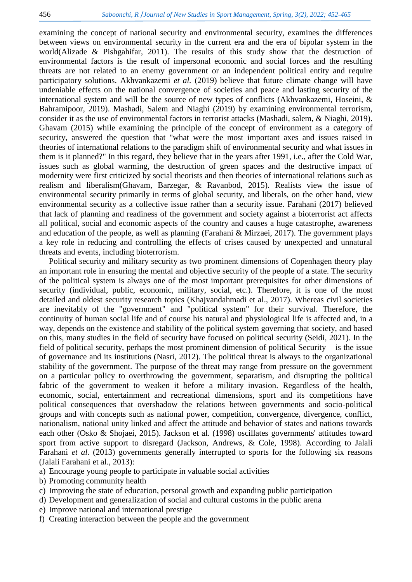examining the concept of national security and environmental security, examines the differences between views on environmental security in the current era and the era of bipolar system in the world[\(Alizade & Pishgahifar, 2011\)](#page-11-3). The results of this study show that the destruction of environmental factors is the result of impersonal economic and social forces and the resulting threats are not related to an enemy government or an independent political entity and require participatory solutions. Akhvankazemi *et al.* (2019) believe that future climate change will have undeniable effects on the national convergence of societies and peace and lasting security of the international system and will be the source of new types of conflicts [\(Akhvankazemi, Hoseini, &](#page-11-4)  [Bahramipoor, 2019\)](#page-11-4). Mashadi, Salem and Niaghi (2019) by examining environmental terrorism, consider it as the use of environmental factors in terrorist attacks [\(Mashadi, salem, & Niaghi, 2019\)](#page-12-13). Ghavam (2015) while examining the principle of the concept of environment as a category of security, answered the question that "what were the most important axes and issues raised in theories of international relations to the paradigm shift of environmental security and what issues in them is it planned?" In this regard, they believe that in the years after 1991, i.e., after the Cold War, issues such as global warming, the destruction of green spaces and the destructive impact of modernity were first criticized by social theorists and then theories of international relations such as realism and liberalism[\(Ghavam, Barzegar, & Ravanbod, 2015\)](#page-12-14). Realists view the issue of environmental security primarily in terms of global security, and liberals, on the other hand, view environmental security as a collective issue rather than a security issue. Farahani (2017) believed that lack of planning and readiness of the government and society against a bioterrorist act affects all political, social and economic aspects of the country and causes a huge catastrophe, awareness and education of the people, as well as planning [\(Farahani & Mirzaei, 2017\)](#page-12-15). The government plays a key role in reducing and controlling the effects of crises caused by unexpected and unnatural threats and events, including bioterrorism.

Political security and military security as two prominent dimensions of Copenhagen theory play an important role in ensuring the mental and objective security of the people of a state. The security of the political system is always one of the most important prerequisites for other dimensions of security (individual, public, economic, military, social, etc.). Therefore, it is one of the most detailed and oldest security research topics [\(Khajvandahmadi et al., 2017\)](#page-12-0). Whereas civil societies are inevitably of the "government" and "political system" for their survival. Therefore, the continuity of human social life and of course his natural and physiological life is affected and, in a way, depends on the existence and stability of the political system governing that society, and based on this, many studies in the field of security have focused on political security [\(Seidi, 2021\)](#page-13-0). In the field of political security, perhaps the most prominent dimension of political Security is the issue of governance and its institutions [\(Nasri, 2012\)](#page-12-16). The political threat is always to the organizational stability of the government. The purpose of the threat may range from pressure on the government on a particular policy to overthrowing the government, separatism, and disrupting the political fabric of the government to weaken it before a military invasion. Regardless of the health, economic, social, entertainment and recreational dimensions, sport and its competitions have political consequences that overshadow the relations between governments and socio-political groups and with concepts such as national power, competition, convergence, divergence, conflict, nationalism, national unity linked and affect the attitude and behavior of states and nations towards each other [\(Osko & Shojaei, 2015\)](#page-12-17). Jackson et al. (1998) oscillates governments' attitudes toward sport from active support to disregard [\(Jackson, Andrews, & Cole, 1998\)](#page-12-18). According to Jalali Farahani *et al.* (2013) governments generally interrupted to sports for the following six reasons [\(Jalali Farahani et al., 2013\)](#page-12-5):

- a) Encourage young people to participate in valuable social activities
- b) Promoting community health
- c) Improving the state of education, personal growth and expanding public participation
- d) Development and generalization of social and cultural customs in the public arena
- e) Improve national and international prestige
- f) Creating interaction between the people and the government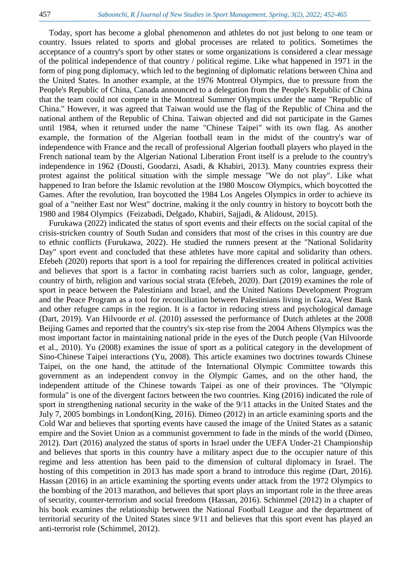Today, sport has become a global phenomenon and athletes do not just belong to one team or country. Issues related to sports and global processes are related to politics. Sometimes the acceptance of a country's sport by other states or some organizations is considered a clear message of the political independence of that country / political regime. Like what happened in 1971 in the form of ping pong diplomacy, which led to the beginning of diplomatic relations between China and the United States. In another example, at the 1976 Montreal Olympics, due to pressure from the People's Republic of China, Canada announced to a delegation from the People's Republic of China that the team could not compete in the Montreal Summer Olympics under the name "Republic of China." However, it was agreed that Taiwan would use the flag of the Republic of China and the national anthem of the Republic of China. Taiwan objected and did not participate in the Games until 1984, when it returned under the name "Chinese Taipei" with its own flag. As another example, the formation of the Algerian football team in the midst of the country's war of independence with France and the recall of professional Algerian football players who played in the French national team by the Algerian National Liberation Front itself is a prelude to the country's independence in 1962 [\(Dousti, Goodarzi, Asadi, & Khabiri, 2013\)](#page-11-5). Many countries express their protest against the political situation with the simple message "We do not play". Like what happened to Iran before the Islamic revolution at the 1980 Moscow Olympics, which boycotted the Games. After the revolution, Iran boycotted the 1984 Los Angeles Olympics in order to achieve its goal of a "neither East nor West" doctrine, making it the only country in history to boycott both the 1980 and 1984 Olympics [\(Feizabadi, Delgado, Khabiri, Sajjadi, & Alidoust, 2015\)](#page-12-19).

Furukawa (2022) indicated the status of sport events and their effects on the social capital of the crisis-stricken country of South Sudan and considers that most of the crises in this country are due to ethnic conflicts [\(Furukawa, 2022\)](#page-12-20). He studied the runners present at the "National Solidarity Day" sport event and concluded that these athletes have more capital and solidarity than others. Efebeh (2020) reports that sport is a tool for repairing the differences created in political activities and believes that sport is a factor in combating racist barriers such as color, language, gender, country of birth, religion and various social strata [\(Efebeh, 2020\)](#page-11-6). Dart (2019) examines the role of sport in peace between the Palestinians and Israel, and the United Nations Development Program and the Peace Program as a tool for reconciliation between Palestinians living in Gaza, West Bank and other refugee camps in the region. It is a factor in reducing stress and psychological damage [\(Dart, 2019\)](#page-11-7). Van Hilvoorde *et al.* (2010) assessed the performance of Dutch athletes at the 2008 Beijing Games and reported that the country's six-step rise from the 2004 Athens Olympics was the most important factor in maintaining national pride in the eyes of the Dutch people [\(Van Hilvoorde](#page-13-1)  [et al., 2010\)](#page-13-1). Yu (2008) examines the issue of sport as a political category in the development of Sino-Chinese Taipei interactions [\(Yu, 2008\)](#page-13-3). This article examines two doctrines towards Chinese Taipei, on the one hand, the attitude of the International Olympic Committee towards this government as an independent convoy in the Olympic Games, and on the other hand, the independent attitude of the Chinese towards Taipei as one of their provinces. The "Olympic formula" is one of the divergent factors between the two countries. King (2016) indicated the role of sport in strengthening national security in the wake of the 9/11 attacks in the United States and the July 7, 2005 bombings in London[\(King, 2016\)](#page-12-21). Dimeo (2012) in an article examining sports and the Cold War and believes that sporting events have caused the image of the United States as a satanic empire and the Soviet Union as a communist government to fade in the minds of the world [\(Dimeo,](#page-11-8)  [2012\)](#page-11-8). Dart (2016) analyzed the status of sports in Israel under the UEFA Under-21 Championship and believes that sports in this country have a military aspect due to the occupier nature of this regime and less attention has been paid to the dimension of cultural diplomacy in Israel. The hosting of this competition in 2013 has made sport a brand to introduce this regime [\(Dart, 2016\)](#page-11-9). Hassan (2016) in an article examining the sporting events under attack from the 1972 Olympics to the bombing of the 2013 marathon, and believes that sport plays an important role in the three areas of security, counter-terrorism and social freedoms [\(Hassan, 2016\)](#page-12-22). Schimmel (2012) in a chapter of his book examines the relationship between the National Football League and the department of territorial security of the United States since 9/11 and believes that this sport event has played an anti-terrorist role [\(Schimmel, 2012\)](#page-13-4).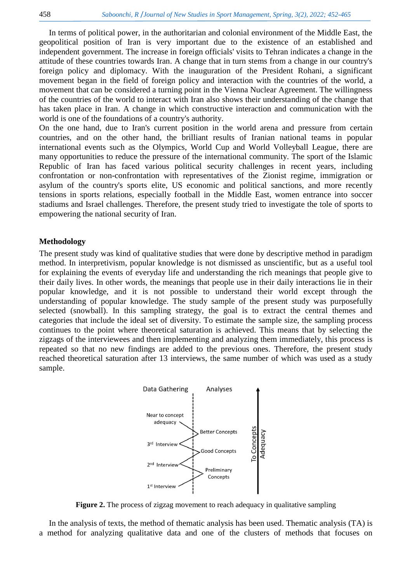In terms of political power, in the authoritarian and colonial environment of the Middle East, the geopolitical position of Iran is very important due to the existence of an established and independent government. The increase in foreign officials' visits to Tehran indicates a change in the attitude of these countries towards Iran. A change that in turn stems from a change in our country's foreign policy and diplomacy. With the inauguration of the President Rohani, a significant movement began in the field of foreign policy and interaction with the countries of the world, a movement that can be considered a turning point in the Vienna Nuclear Agreement. The willingness of the countries of the world to interact with Iran also shows their understanding of the change that has taken place in Iran. A change in which constructive interaction and communication with the world is one of the foundations of a country's authority.

On the one hand, due to Iran's current position in the world arena and pressure from certain countries, and on the other hand, the brilliant results of Iranian national teams in popular international events such as the Olympics, World Cup and World Volleyball League, there are many opportunities to reduce the pressure of the international community. The sport of the Islamic Republic of Iran has faced various political security challenges in recent years, including confrontation or non-confrontation with representatives of the Zionist regime, immigration or asylum of the country's sports elite, US economic and political sanctions, and more recently tensions in sports relations, especially football in the Middle East, women entrance into soccer stadiums and Israel challenges. Therefore, the present study tried to investigate the tole of sports to empowering the national security of Iran.

### **Methodology**

The present study was kind of qualitative studies that were done by descriptive method in paradigm method. In interpretivism, popular knowledge is not dismissed as unscientific, but as a useful tool for explaining the events of everyday life and understanding the rich meanings that people give to their daily lives. In other words, the meanings that people use in their daily interactions lie in their popular knowledge, and it is not possible to understand their world except through the understanding of popular knowledge. The study sample of the present study was purposefully selected (snowball). In this sampling strategy, the goal is to extract the central themes and categories that include the ideal set of diversity. To estimate the sample size, the sampling process continues to the point where theoretical saturation is achieved. This means that by selecting the zigzags of the interviewees and then implementing and analyzing them immediately, this process is repeated so that no new findings are added to the previous ones. Therefore, the present study reached theoretical saturation after 13 interviews, the same number of which was used as a study sample.



**Figure 2.** The process of zigzag movement to reach adequacy in qualitative sampling

In the analysis of texts, the method of thematic analysis has been used. Thematic analysis (TA) is a method for analyzing qualitative data and one of the clusters of methods that focuses on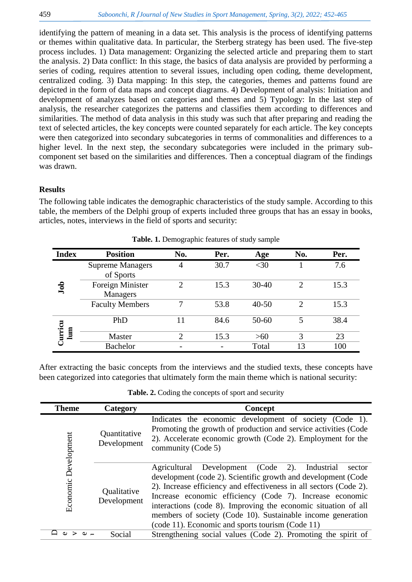identifying the pattern of meaning in a data set. This analysis is the process of identifying patterns or themes within qualitative data. In particular, the Sterberg strategy has been used. The five-step process includes. 1) Data management: Organizing the selected article and preparing them to start the analysis. 2) Data conflict: In this stage, the basics of data analysis are provided by performing a series of coding, requires attention to several issues, including open coding, theme development, centralized coding. 3) Data mapping: In this step, the categories, themes and patterns found are depicted in the form of data maps and concept diagrams. 4) Development of analysis: Initiation and development of analyzes based on categories and themes and 5) Typology: In the last step of analysis, the researcher categorizes the patterns and classifies them according to differences and similarities. The method of data analysis in this study was such that after preparing and reading the text of selected articles, the key concepts were counted separately for each article. The key concepts were then categorized into secondary subcategories in terms of commonalities and differences to a higher level. In the next step, the secondary subcategories were included in the primary subcomponent set based on the similarities and differences. Then a conceptual diagram of the findings was drawn.

# **Results**

The following table indicates the demographic characteristics of the study sample. According to this table, the members of the Delphi group of experts included three groups that has an essay in books, articles, notes, interviews in the field of sports and security:

| <b>Index</b>   | <b>Position</b>                      | No.            | Per. | Age       | No.                         | Per. |
|----------------|--------------------------------------|----------------|------|-----------|-----------------------------|------|
| doL            | <b>Supreme Managers</b><br>of Sports | 4              | 30.7 | $<$ 30    |                             | 7.6  |
|                | Foreign Minister<br>Managers         | $\bigcirc$     | 15.3 | $30-40$   | $\mathcal{D}_{\mathcal{L}}$ | 15.3 |
|                | <b>Faculty Members</b>               | 7              | 53.8 | $40 - 50$ | $\mathcal{D}_{\mathcal{L}}$ | 15.3 |
| Curricu<br>lum | PhD                                  | 11             | 84.6 | $50 - 60$ | 5                           | 38.4 |
|                | Master                               | $\overline{2}$ | 15.3 | >60       | 3                           | 23   |
|                | <b>Bachelor</b>                      |                |      | Total     | 13                          | 100  |

**Table. 1.** Demographic features of study sample

After extracting the basic concepts from the interviews and the studied texts, these concepts have been categorized into categories that ultimately form the main theme which is national security:

**Table. 2.** Coding the concepts of sport and security

| <b>Theme</b>         | Category                    | Concept                                                                                                                                                                                                                                                                                                                                                                                                                                               |
|----------------------|-----------------------------|-------------------------------------------------------------------------------------------------------------------------------------------------------------------------------------------------------------------------------------------------------------------------------------------------------------------------------------------------------------------------------------------------------------------------------------------------------|
|                      | Quantitative<br>Development | Indicates the economic development of society (Code 1).<br>Promoting the growth of production and service activities (Code<br>2). Accelerate economic growth (Code 2). Employment for the<br>community (Code 5)                                                                                                                                                                                                                                       |
| Economic Development | Qualitative<br>Development  | Development (Code 2).<br>Agricultural<br>Industrial<br>sector<br>development (code 2). Scientific growth and development (Code<br>2). Increase efficiency and effectiveness in all sectors (Code 2).<br>Increase economic efficiency (Code 7). Increase economic<br>interactions (code 8). Improving the economic situation of all<br>members of society (Code 10). Sustainable income generation<br>(code 11). Economic and sports tourism (Code 11) |
|                      | Social                      | Strengthening social values (Code 2). Promoting the spirit of                                                                                                                                                                                                                                                                                                                                                                                         |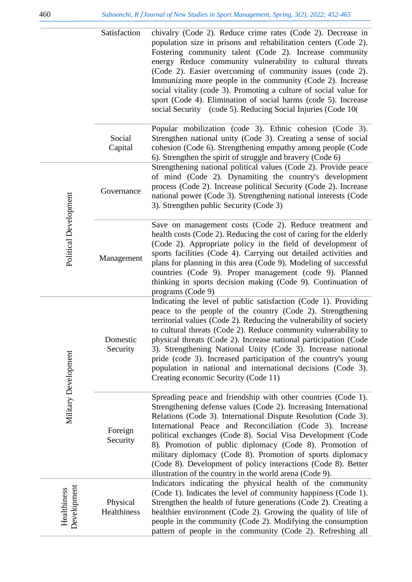|                            | Satisfaction            | chivalry (Code 2). Reduce crime rates (Code 2). Decrease in<br>population size in prisons and rehabilitation centers (Code 2).<br>Fostering community talent (Code 2). Increase community<br>energy Reduce community vulnerability to cultural threats<br>(Code 2). Easier overcoming of community issues (code 2).<br>Immunizing more people in the community (Code 2). Increase<br>social vitality (code 3). Promoting a culture of social value for<br>sport (Code 4). Elimination of social harms (code 5). Increase<br>social Security (code 5). Reducing Social Injuries (Code 10) |
|----------------------------|-------------------------|------------------------------------------------------------------------------------------------------------------------------------------------------------------------------------------------------------------------------------------------------------------------------------------------------------------------------------------------------------------------------------------------------------------------------------------------------------------------------------------------------------------------------------------------------------------------------------------|
|                            | Social<br>Capital       | Popular mobilization (code 3). Ethnic cohesion (Code 3).<br>Strengthen national unity (Code 3). Creating a sense of social<br>cohesion (Code 6). Strengthening empathy among people (Code<br>6). Strengthen the spirit of struggle and bravery (Code 6)                                                                                                                                                                                                                                                                                                                                  |
|                            | Governance              | Strengthening national political values (Code 2). Provide peace<br>of mind (Code 2). Dynamiting the country's development<br>process (Code 2). Increase political Security (Code 2). Increase<br>national power (Code 3). Strengthening national interests (Code<br>3). Strengthen public Security (Code 3)                                                                                                                                                                                                                                                                              |
| Political Development      | Management              | Save on management costs (Code 2). Reduce treatment and<br>health costs (Code 2). Reducing the cost of caring for the elderly<br>(Code 2). Appropriate policy in the field of development of<br>sports facilities (Code 4). Carrying out detailed activities and<br>plans for planning in this area (Code 9). Modeling of successful<br>countries (Code 9). Proper management (code 9). Planned<br>thinking in sports decision making (Code 9). Continuation of<br>programs (Code 9)                                                                                                     |
| Military Development       | Domestic<br>Security    | Indicating the level of public satisfaction (Code 1). Providing<br>peace to the people of the country (Code 2). Strengthening<br>territorial values (Code 2). Reducing the vulnerability of society<br>to cultural threats (Code 2). Reduce community vulnerability to<br>physical threats (Code 2). Increase national participation (Code<br>3). Strengthening National Unity (Code 3). Increase national<br>pride (code 3). Increased participation of the country's young<br>population in national and international decisions (Code 3).<br>Creating economic Security (Code 11)     |
|                            | Foreign<br>Security     | Spreading peace and friendship with other countries (Code 1).<br>Strengthening defense values (Code 2). Increasing International<br>Relations (Code 3). International Dispute Resolution (Code 3).<br>International Peace and Reconciliation (Code 3). Increase<br>political exchanges (Code 8). Social Visa Development (Code<br>8). Promotion of public diplomacy (Code 8). Promotion of<br>military diplomacy (Code 8). Promotion of sports diplomacy<br>(Code 8). Development of policy interactions (Code 8). Better<br>illustration of the country in the world arena (Code 9).    |
| Development<br>Healthiness | Physical<br>Healthiness | Indicators indicating the physical health of the community<br>(Code 1). Indicates the level of community happiness (Code 1).<br>Strengthen the health of future generations (Code 2). Creating a<br>healthier environment (Code 2). Growing the quality of life of<br>people in the community (Code 2). Modifying the consumption<br>pattern of people in the community (Code 2). Refreshing all                                                                                                                                                                                         |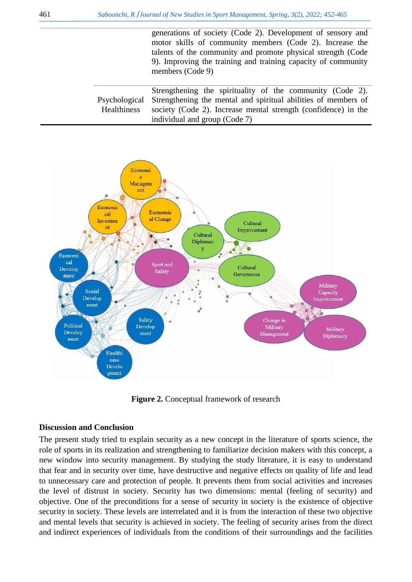generations of society (Code 2). Development of sensory and motor skills of community members (Code 2). Increase the talents of the community and promote physical strength (Code 9). Improving the training and training capacity of community members (Code 9)

Psychological Healthiness Strengthening the spirituality of the community (Code 2). Strengthening the mental and spiritual abilities of members of society (Code 2). Increase mental strength (confidence) in the individual and group (Code 7)



**Figure 2.** Conceptual framework of research

### **Discussion and Conclusion**

The present study tried to explain security as a new concept in the literature of sports science, the role of sports in its realization and strengthening to familiarize decision makers with this concept, a new window into security management. By studying the study literature, it is easy to understand that fear and in security over time, have destructive and negative effects on quality of life and lead to unnecessary care and protection of people. It prevents them from social activities and increases the level of distrust in society. Security has two dimensions: mental (feeling of security) and objective. One of the preconditions for a sense of security in society is the existence of objective security in society. These levels are interrelated and it is from the interaction of these two objective and mental levels that security is achieved in society. The feeling of security arises from the direct and indirect experiences of individuals from the conditions of their surroundings and the facilities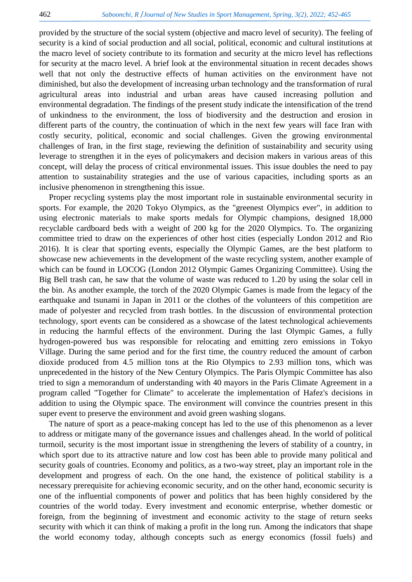provided by the structure of the social system (objective and macro level of security). The feeling of security is a kind of social production and all social, political, economic and cultural institutions at the macro level of society contribute to its formation and security at the micro level has reflections for security at the macro level. A brief look at the environmental situation in recent decades shows well that not only the destructive effects of human activities on the environment have not diminished, but also the development of increasing urban technology and the transformation of rural agricultural areas into industrial and urban areas have caused increasing pollution and environmental degradation. The findings of the present study indicate the intensification of the trend of unkindness to the environment, the loss of biodiversity and the destruction and erosion in different parts of the country, the continuation of which in the next few years will face Iran with costly security, political, economic and social challenges. Given the growing environmental challenges of Iran, in the first stage, reviewing the definition of sustainability and security using leverage to strengthen it in the eyes of policymakers and decision makers in various areas of this concept, will delay the process of critical environmental issues. This issue doubles the need to pay attention to sustainability strategies and the use of various capacities, including sports as an inclusive phenomenon in strengthening this issue.

Proper recycling systems play the most important role in sustainable environmental security in sports. For example, the 2020 Tokyo Olympics, as the "greenest Olympics ever", in addition to using electronic materials to make sports medals for Olympic champions, designed 18,000 recyclable cardboard beds with a weight of 200 kg for the 2020 Olympics. To. The organizing committee tried to draw on the experiences of other host cities (especially London 2012 and Rio 2016). It is clear that sporting events, especially the Olympic Games, are the best platform to showcase new achievements in the development of the waste recycling system, another example of which can be found in LOCOG (London 2012 Olympic Games Organizing Committee). Using the Big Bell trash can, he saw that the volume of waste was reduced to 1.20 by using the solar cell in the bin. As another example, the torch of the 2020 Olympic Games is made from the legacy of the earthquake and tsunami in Japan in 2011 or the clothes of the volunteers of this competition are made of polyester and recycled from trash bottles. In the discussion of environmental protection technology, sport events can be considered as a showcase of the latest technological achievements in reducing the harmful effects of the environment. During the last Olympic Games, a fully hydrogen-powered bus was responsible for relocating and emitting zero emissions in Tokyo Village. During the same period and for the first time, the country reduced the amount of carbon dioxide produced from 4.5 million tons at the Rio Olympics to 2.93 million tons, which was unprecedented in the history of the New Century Olympics. The Paris Olympic Committee has also tried to sign a memorandum of understanding with 40 mayors in the Paris Climate Agreement in a program called "Together for Climate" to accelerate the implementation of Hafez's decisions in addition to using the Olympic space. The environment will convince the countries present in this super event to preserve the environment and avoid green washing slogans.

The nature of sport as a peace-making concept has led to the use of this phenomenon as a lever to address or mitigate many of the governance issues and challenges ahead. In the world of political turmoil, security is the most important issue in strengthening the levers of stability of a country, in which sport due to its attractive nature and low cost has been able to provide many political and security goals of countries. Economy and politics, as a two-way street, play an important role in the development and progress of each. On the one hand, the existence of political stability is a necessary prerequisite for achieving economic security, and on the other hand, economic security is one of the influential components of power and politics that has been highly considered by the countries of the world today. Every investment and economic enterprise, whether domestic or foreign, from the beginning of investment and economic activity to the stage of return seeks security with which it can think of making a profit in the long run. Among the indicators that shape the world economy today, although concepts such as energy economics (fossil fuels) and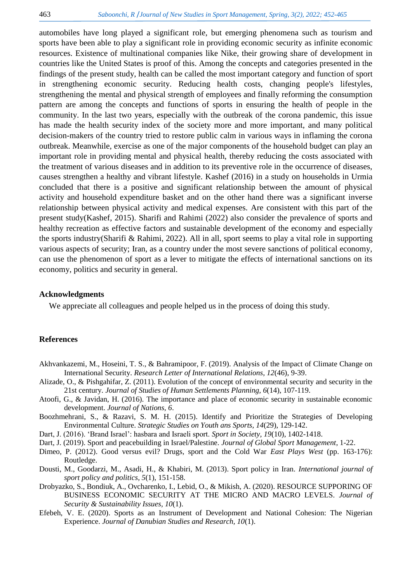automobiles have long played a significant role, but emerging phenomena such as tourism and sports have been able to play a significant role in providing economic security as infinite economic resources. Existence of multinational companies like Nike, their growing share of development in countries like the United States is proof of this. Among the concepts and categories presented in the findings of the present study, health can be called the most important category and function of sport in strengthening economic security. Reducing health costs, changing people's lifestyles, strengthening the mental and physical strength of employees and finally reforming the consumption pattern are among the concepts and functions of sports in ensuring the health of people in the community. In the last two years, especially with the outbreak of the corona pandemic, this issue has made the health security index of the society more and more important, and many political decision-makers of the country tried to restore public calm in various ways in inflaming the corona outbreak. Meanwhile, exercise as one of the major components of the household budget can play an important role in providing mental and physical health, thereby reducing the costs associated with the treatment of various diseases and in addition to its preventive role in the occurrence of diseases, causes strengthen a healthy and vibrant lifestyle. Kashef (2016) in a study on households in Urmia concluded that there is a positive and significant relationship between the amount of physical activity and household expenditure basket and on the other hand there was a significant inverse relationship between physical activity and medical expenses. Are consistent with this part of the present study[\(Kashef, 2015\)](#page-12-23). Sharifi and Rahimi (2022) also consider the prevalence of sports and healthy recreation as effective factors and sustainable development of the economy and especially the sports industry[\(Sharifi & Rahimi, 2022\)](#page-13-5). All in all, sport seems to play a vital role in supporting various aspects of security; Iran, as a country under the most severe sanctions of political economy, can use the phenomenon of sport as a lever to mitigate the effects of international sanctions on its economy, politics and security in general.

## **Acknowledgments**

We appreciate all colleagues and people helped us in the process of doing this study.

#### **References**

- <span id="page-11-4"></span>Akhvankazemi, M., Hoseini, T. S., & Bahramipoor, F. (2019). Analysis of the Impact of Climate Change on International Security. *Research Letter of International Relations, 12*(46), 9-39.
- <span id="page-11-3"></span>Alizade, O., & Pishgahifar, Z. (2011). Evolution of the concept of environmental security and security in the 21st century. *Journal of Studies of Human Settlements Planning, 6*(14), 107-119.
- <span id="page-11-0"></span>Atoofi, G., & Javidan, H. (2016). The importance and place of economic security in sustainable economic development. *Journal of Nations, 6*.
- <span id="page-11-2"></span>Boozhmehrani, S., & Razavi, S. M. H. (2015). Identify and Prioritize the Strategies of Developing Environmental Culture. *Strategic Studies on Youth ans Sports, 14*(29), 129-142.
- <span id="page-11-9"></span>Dart, J. (2016). 'Brand Israel': hasbara and Israeli sport. *Sport in Society, 19*(10), 1402-1418.
- <span id="page-11-7"></span>Dart, J. (2019). Sport and peacebuilding in Israel/Palestine. *Journal of Global Sport Management*, 1-22.
- <span id="page-11-8"></span>Dimeo, P. (2012). Good versus evil? Drugs, sport and the Cold War *East Plays West* (pp. 163-176): Routledge.
- <span id="page-11-5"></span>Dousti, M., Goodarzi, M., Asadi, H., & Khabiri, M. (2013). Sport policy in Iran. *International journal of sport policy and politics, 5*(1), 151-158.
- <span id="page-11-1"></span>Drobyazko, S., Bondiuk, A., Ovcharenko, I., Lebid, O., & Mikish, A. (2020). RESOURCE SUPPORING OF BUSINESS ECONOMIC SECURITY AT THE MICRO AND MACRO LEVELS. *Journal of Security & Sustainability Issues, 10*(1).
- <span id="page-11-6"></span>Efebeh, V. E. (2020). Sports as an Instrument of Development and National Cohesion: The Nigerian Experience. *Journal of Danubian Studies and Research, 10*(1).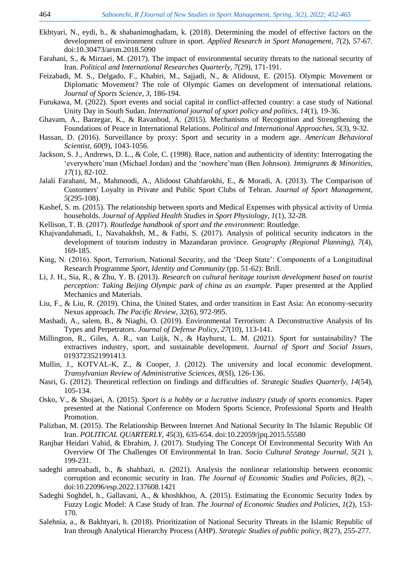- <span id="page-12-10"></span>Ekhtyari, N., eydi, h., & shabanimoghadam, k. (2018). Determining the model of effective factors on the development of environment culture in sport. *Applied Research in Sport Management, 7*(2), 57-67. doi:10.30473/arsm.2018.5090
- <span id="page-12-15"></span>Farahani, S., & Mirzaei, M. (2017). The impact of environmental security threats to the national security of Iran. *Political and International Researches Quarterly, 7*(29), 171-191.
- <span id="page-12-19"></span>Feizabadi, M. S., Delgado, F., Khabiri, M., Sajjadi, N., & Alidoust, E. (2015). Olympic Movement or Diplomatic Movement? The role of Olympic Games on development of international relations. *Journal of Sports Science, 3*, 186-194.
- <span id="page-12-20"></span>Furukawa, M. (2022). Sport events and social capital in conflict-affected country: a case study of National Unity Day in South Sudan. *International journal of sport policy and politics, 14*(1), 19-36.
- <span id="page-12-14"></span>Ghavam, A., Barzegar, K., & Ravanbod, A. (2015). Mechanisms of Recognition and Strengthening the Foundations of Peace in International Relations. *Political and International Approaches, 5*(3), 9-32.
- <span id="page-12-22"></span>Hassan, D. (2016). Surveillance by proxy: Sport and security in a modern age. *American Behavioral Scientist, 60*(9), 1043-1056.
- <span id="page-12-18"></span>Jackson, S. J., Andrews, D. L., & Cole, C. (1998). Race, nation and authenticity of identity: Interrogating the 'everywhere'man (Michael Jordan) and the 'nowhere'man (Ben Johnson). *Immigrants & Minorities, 17*(1), 82-102.
- <span id="page-12-5"></span>Jalali Farahani, M., Mahmoodi, A., Alidoost Ghahfarokhi, E., & Moradi, A. (2013). The Comparison of Customers' Loyalty in Private and Public Sport Clubs of Tehran. *Journal of Sport Management, 5*(295-108).
- <span id="page-12-23"></span>Kashef, S. m. (2015). The relationship between sports and Medical Expenses with physical activity of Urmia households. *Journal of Applied Health Studies in Sport Physiology, 1*(1), 32-28.
- <span id="page-12-11"></span>Kellison, T. B. (2017). *Routledge handbook of sport and the environment*: Routledge.
- <span id="page-12-0"></span>Khajvandahmadi, I., Navabakhsh, M., & Fathi, S. (2017). Analysis of political security indicators in the development of tourism industry in Mazandaran province. *Geography (Regional Planning), 7*(4), 169-185.
- <span id="page-12-21"></span>King, N. (2016). Sport, Terrorism, National Security, and the 'Deep State': Components of a Longitudinal Research Programme *Sport, Identity and Community* (pp. 51-62): Brill.
- <span id="page-12-9"></span>Li, J. H., Sia, R., & Zhu, Y. B. (2013). *Research on cultural heritage tourism development based on tourist perception: Taking Beijing Olympic park of china as an example.* Paper presented at the Applied Mechanics and Materials.
- <span id="page-12-4"></span>Liu, F., & Liu, R. (2019). China, the United States, and order transition in East Asia: An economy-security Nexus approach. *The Pacific Review, 32*(6), 972-995.
- <span id="page-12-13"></span>Mashadi, A., salem, B., & Niaghi, O. (2019). Environmental Terrorism: A Deconstructive Analysis of Its Types and Perpetrators. *Journal of Defense Policy, 27*(10), 113-141.
- <span id="page-12-6"></span>Millington, R., Giles, A. R., van Luijk, N., & Hayhurst, L. M. (2021). Sport for sustainability? The extractives industry, sport, and sustainable development. *Journal of Sport and Social Issues*, 0193723521991413.
- <span id="page-12-8"></span>Mullin, J., KOTVAL-K, Z., & Cooper, J. (2012). The university and local economic development. *Transylvanian Review of Administrative Sciences, 8*(SI), 126-136.
- <span id="page-12-16"></span>Nasri, G. (2012). Theoretical reflection on findings and difficulties of. *Strategic Studies Quarterly, 14*(54), 105-134.
- <span id="page-12-17"></span>Osko, V., & Shojaei, A. (2015). *Sport is a hobby or a lucrative industry (study of sports economics*. Paper presented at the National Conference on Modern Sports Science, Professional Sports and Health Promotion.
- <span id="page-12-1"></span>Palizban, M. (2015). The Relationship Between Internet And National Security In The Islamic Republic Of Iran. *POLITICAL QUARTERLY, 45*(3), 635-654. doi:10.22059/jpq.2015.55580
- <span id="page-12-12"></span>Ranjbar Heidari Vahid, & Ebrahim, J. (2017). Studying The Concept Of Environmental Security With An Overview Of The Challenges Of Environmental In Iran. *Socio Cultural Strategy Journal, 5*(21 ), 199-231.
- <span id="page-12-3"></span>sadeghi amroabadi, b., & shahbazi, n. (2021). Analysis the nonlinear relationship between economic corruption and economic security in Iran. *The Journal of Economic Studies and Policies, 8*(2), -. doi:10.22096/esp.2022.137608.1421
- <span id="page-12-2"></span>Sadeghi Soghdel, h., Gallavani, A., & khoshkhoo, A. (2015). Estimating the Economic Security Index by Fuzzy Logic Model: A Case Study of Iran. *The Journal of Economic Studies and Policies, 1*(2), 153- 170.
- <span id="page-12-7"></span>Salehnia, a., & Bakhtyari, h. (2018). Prioritization of National Security Threats in the Islamic Republic of Iran through Analytical Hierarchy Process (AHP). *Strategic Studies of public policy, 8*(27), 255-277.